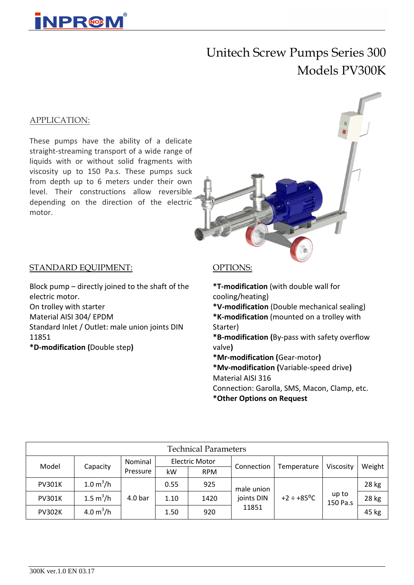

# Unitech Screw Pumps Series 300 Models PV300K

#### APPLICATION:

These pumps have the ability of a delicate straight-streaming transport of a wide range of liquids with or without solid fragments with viscosity up to 150 Pa.s. These pumps suck from depth up to 6 meters under their own level. Their constructions allow reversible depending on the direction of the electric motor.



#### STANDARD EQUIPMENT:

Block pump – directly joined to the shaft of the electric motor. On trolley with starter Material AISI 304/ EPDM Standard Inlet / Outlet: male union joints DIN 11851 **\*D-modification (**Double step**)**

#### OPTIONS:

**\*T-modification** (with double wall for cooling/heating) **\*V-modification** (Double mechanical sealing) **\*K-modification** (mounted on a trolley with Starter) **\*B-modification (**By-pass with safety overflow valve**) \*Mr-modification (**Gear-motor**) \*Mv-modification (**Variable-speed drive**)** Material AISI 316 Connection: Garolla, SMS, Macon, Clamp, etc. **\*Other Options on Request**

| <b>Technical Parameters</b> |             |                    |                       |            |                                   |                              |                   |        |  |  |  |  |
|-----------------------------|-------------|--------------------|-----------------------|------------|-----------------------------------|------------------------------|-------------------|--------|--|--|--|--|
| Model                       | Capacity    | Nominal            | <b>Electric Motor</b> |            | Connection                        | Temperature                  | Viscosity         | Weight |  |  |  |  |
|                             |             | Pressure           | kW                    | <b>RPM</b> |                                   |                              |                   |        |  |  |  |  |
| <b>PV301K</b>               | 1.0 $m^3/h$ | 4.0 <sub>bar</sub> | 0.55                  | 925        | male union<br>joints DIN<br>11851 | $+2 \div +85$ <sup>o</sup> C | up to<br>150 Pa.s | 28 kg  |  |  |  |  |
| <b>PV301K</b>               | 1.5 $m^3/h$ |                    | 1.10                  | 1420       |                                   |                              |                   | 28 kg  |  |  |  |  |
| <b>PV302K</b>               | 4.0 $m^3/h$ |                    | 1.50                  | 920        |                                   |                              |                   | 45 kg  |  |  |  |  |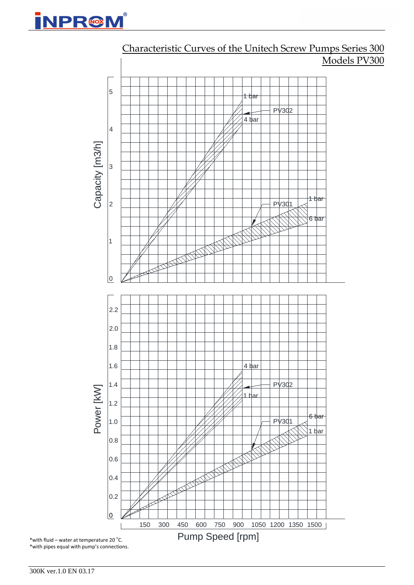



## Characteristic Curves of the Unitech Screw Pumps Series 300 Models PV300

300K ver.1.0 EN 03.17